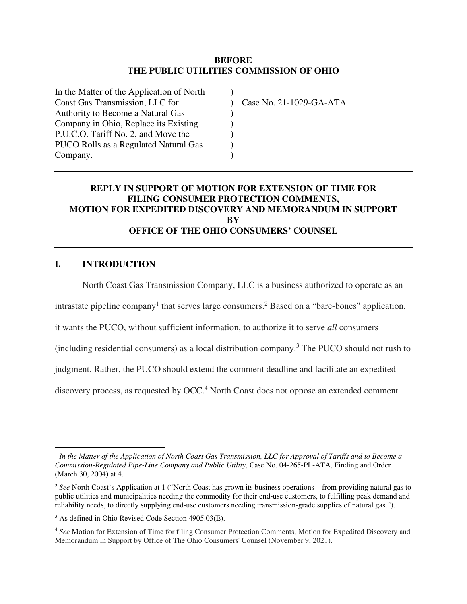#### **BEFORE THE PUBLIC UTILITIES COMMISSION OF OHIO**

) ) ) ) ) ) )

Case No. 21-1029-GA-ATA

### **REPLY IN SUPPORT OF MOTION FOR EXTENSION OF TIME FOR FILING CONSUMER PROTECTION COMMENTS, MOTION FOR EXPEDITED DISCOVERY AND MEMORANDUM IN SUPPORT BY OFFICE OF THE OHIO CONSUMERS' COUNSEL**

### **I. INTRODUCTION**

North Coast Gas Transmission Company, LLC is a business authorized to operate as an

intrastate pipeline company<sup>1</sup> that serves large consumers.<sup>2</sup> Based on a "bare-bones" application,

it wants the PUCO, without sufficient information, to authorize it to serve *all* consumers

(including residential consumers) as a local distribution company.<sup>3</sup> The PUCO should not rush to

judgment. Rather, the PUCO should extend the comment deadline and facilitate an expedited

discovery process, as requested by OCC.<sup>4</sup> North Coast does not oppose an extended comment

<sup>&</sup>lt;sup>1</sup> In the Matter of the Application of North Coast Gas Transmission, LLC for Approval of Tariffs and to Become a *Commission-Regulated Pipe-Line Company and Public Utility*, Case No. 04-265-PL-ATA, Finding and Order (March 30, 2004) at 4.

<sup>&</sup>lt;sup>2</sup> See North Coast's Application at 1 ("North Coast has grown its business operations – from providing natural gas to public utilities and municipalities needing the commodity for their end-use customers, to fulfilling peak demand and reliability needs, to directly supplying end-use customers needing transmission-grade supplies of natural gas.").

<sup>3</sup> As defined in Ohio Revised Code Section 4905.03(E).

<sup>4</sup> *See* Motion for Extension of Time for filing Consumer Protection Comments, Motion for Expedited Discovery and Memorandum in Support by Office of The Ohio Consumers' Counsel (November 9, 2021).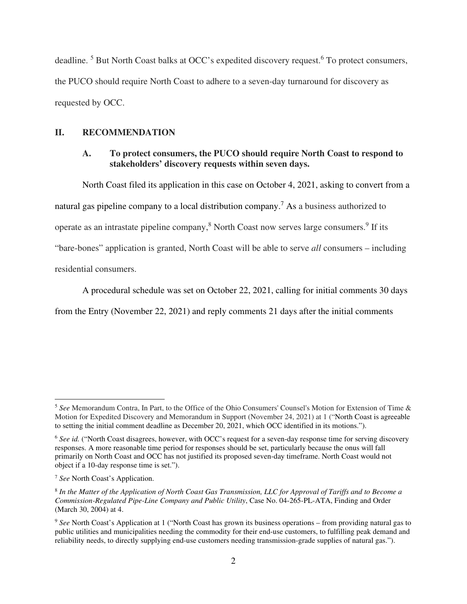deadline.<sup>5</sup> But North Coast balks at OCC's expedited discovery request.<sup>6</sup> To protect consumers, the PUCO should require North Coast to adhere to a seven-day turnaround for discovery as requested by OCC.

#### **II. RECOMMENDATION**

### **A. To protect consumers, the PUCO should require North Coast to respond to stakeholders' discovery requests within seven days.**

North Coast filed its application in this case on October 4, 2021, asking to convert from a natural gas pipeline company to a local distribution company.<sup>7</sup> As a business authorized to operate as an intrastate pipeline company,<sup>8</sup> North Coast now serves large consumers.<sup>9</sup> If its "bare-bones" application is granted, North Coast will be able to serve *all* consumers – including residential consumers.

A procedural schedule was set on October 22, 2021, calling for initial comments 30 days from the Entry (November 22, 2021) and reply comments 21 days after the initial comments

<sup>5</sup> *See* Memorandum Contra, In Part, to the Office of the Ohio Consumers' Counsel's Motion for Extension of Time & Motion for Expedited Discovery and Memorandum in Support (November 24, 2021) at 1 ("North Coast is agreeable to setting the initial comment deadline as December 20, 2021, which OCC identified in its motions.").

<sup>&</sup>lt;sup>6</sup> See id. ("North Coast disagrees, however, with OCC's request for a seven-day response time for serving discovery responses. A more reasonable time period for responses should be set, particularly because the onus will fall primarily on North Coast and OCC has not justified its proposed seven-day timeframe. North Coast would not object if a 10-day response time is set.").

<sup>7</sup> *See* North Coast's Application.

<sup>8</sup> *In the Matter of the Application of North Coast Gas Transmission, LLC for Approval of Tariffs and to Become a Commission-Regulated Pipe-Line Company and Public Utility*, Case No. 04-265-PL-ATA, Finding and Order (March 30, 2004) at 4.

<sup>9</sup> *See* North Coast's Application at 1 ("North Coast has grown its business operations – from providing natural gas to public utilities and municipalities needing the commodity for their end-use customers, to fulfilling peak demand and reliability needs, to directly supplying end-use customers needing transmission-grade supplies of natural gas.").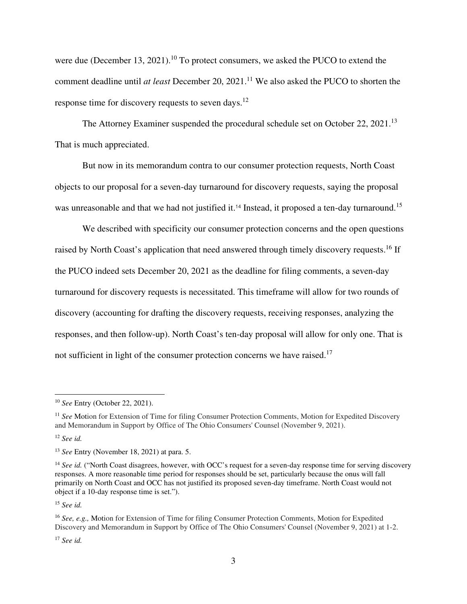were due (December 13, 2021).<sup>10</sup> To protect consumers, we asked the PUCO to extend the comment deadline until *at least* December 20, 2021.<sup>11</sup> We also asked the PUCO to shorten the response time for discovery requests to seven days.<sup>12</sup>

The Attorney Examiner suspended the procedural schedule set on October 22, 2021.<sup>13</sup> That is much appreciated.

But now in its memorandum contra to our consumer protection requests, North Coast objects to our proposal for a seven-day turnaround for discovery requests, saying the proposal was unreasonable and that we had not justified it.<sup>14</sup> Instead, it proposed a ten-day turnaround.<sup>15</sup>

We described with specificity our consumer protection concerns and the open questions raised by North Coast's application that need answered through timely discovery requests.<sup>16</sup> If the PUCO indeed sets December 20, 2021 as the deadline for filing comments, a seven-day turnaround for discovery requests is necessitated. This timeframe will allow for two rounds of discovery (accounting for drafting the discovery requests, receiving responses, analyzing the responses, and then follow-up). North Coast's ten-day proposal will allow for only one. That is not sufficient in light of the consumer protection concerns we have raised.<sup>17</sup>

<sup>15</sup> *See id.* 

<sup>17</sup> *See id.* 

<sup>10</sup> *See* Entry (October 22, 2021).

<sup>&</sup>lt;sup>11</sup> See Motion for Extension of Time for filing Consumer Protection Comments, Motion for Expedited Discovery and Memorandum in Support by Office of The Ohio Consumers' Counsel (November 9, 2021).

<sup>12</sup> *See id.*

<sup>13</sup> *See* Entry (November 18, 2021) at para. 5.

<sup>&</sup>lt;sup>14</sup> *See id.* ("North Coast disagrees, however, with OCC's request for a seven-day response time for serving discovery responses. A more reasonable time period for responses should be set, particularly because the onus will fall primarily on North Coast and OCC has not justified its proposed seven-day timeframe. North Coast would not object if a 10-day response time is set.").

<sup>16</sup> *See, e.g.,* Motion for Extension of Time for filing Consumer Protection Comments, Motion for Expedited Discovery and Memorandum in Support by Office of The Ohio Consumers' Counsel (November 9, 2021) at 1-2.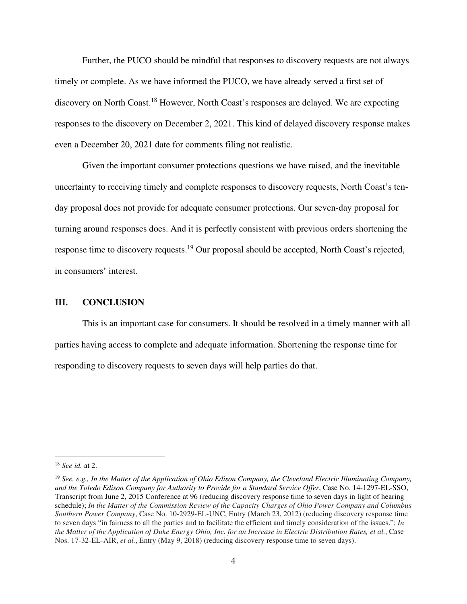Further, the PUCO should be mindful that responses to discovery requests are not always timely or complete. As we have informed the PUCO, we have already served a first set of discovery on North Coast.<sup>18</sup> However, North Coast's responses are delayed. We are expecting responses to the discovery on December 2, 2021. This kind of delayed discovery response makes even a December 20, 2021 date for comments filing not realistic.

Given the important consumer protections questions we have raised, and the inevitable uncertainty to receiving timely and complete responses to discovery requests, North Coast's tenday proposal does not provide for adequate consumer protections. Our seven-day proposal for turning around responses does. And it is perfectly consistent with previous orders shortening the response time to discovery requests.<sup>19</sup> Our proposal should be accepted, North Coast's rejected, in consumers' interest.

#### **III. CONCLUSION**

This is an important case for consumers. It should be resolved in a timely manner with all parties having access to complete and adequate information. Shortening the response time for responding to discovery requests to seven days will help parties do that.

<sup>18</sup> *See id.* at 2.

<sup>19</sup> *See, e.g., In the Matter of the Application of Ohio Edison Company, the Cleveland Electric Illuminating Company, and the Toledo Edison Company for Authority to Provide for a Standard Service Offer*, Case No. 14-1297-EL-SSO, Transcript from June 2, 2015 Conference at 96 (reducing discovery response time to seven days in light of hearing schedule); *In the Matter of the Commission Review of the Capacity Charges of Ohio Power Company and Columbus Southern Power Company*, Case No. 10-2929-EL-UNC, Entry (March 23, 2012) (reducing discovery response time to seven days "in fairness to all the parties and to facilitate the efficient and timely consideration of the issues."; *In the Matter of the Application of Duke Energy Ohio, Inc. for an Increase in Electric Distribution Rates, et al.*, Case Nos. 17-32-EL-AIR, *et al.*, Entry (May 9, 2018) (reducing discovery response time to seven days).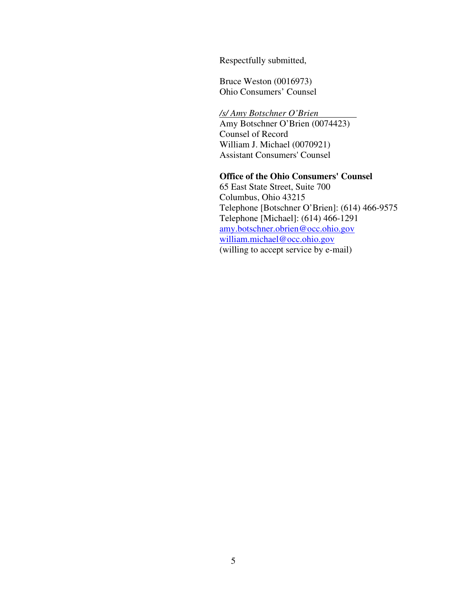Respectfully submitted,

Bruce Weston (0016973) Ohio Consumers' Counsel

*/s/ Amy Botschner O'Brien*  Amy Botschner O'Brien (0074423) Counsel of Record William J. Michael (0070921) Assistant Consumers' Counsel

### **Office of the Ohio Consumers' Counsel**

65 East State Street, Suite 700 Columbus, Ohio 43215 Telephone [Botschner O'Brien]: (614) 466-9575 Telephone [Michael]: (614) 466-1291 amy.botschner.obrien@occ.ohio.gov william.michael@occ.ohio.gov (willing to accept service by e-mail)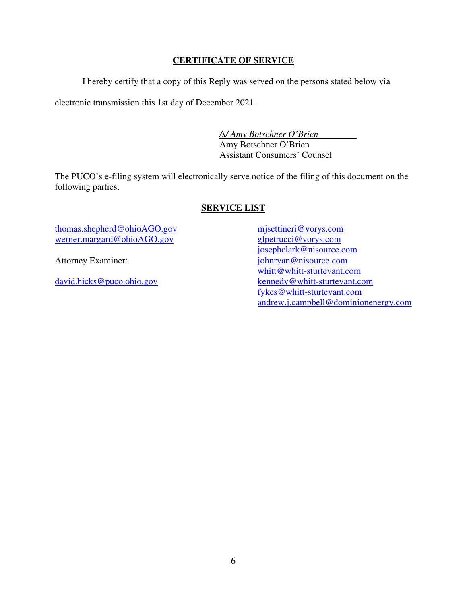## **CERTIFICATE OF SERVICE**

I hereby certify that a copy of this Reply was served on the persons stated below via

electronic transmission this 1st day of December 2021.

*/s/ Amy Botschner O'Brien*  Amy Botschner O'Brien Assistant Consumers' Counsel

The PUCO's e-filing system will electronically serve notice of the filing of this document on the following parties:

## **SERVICE LIST**

thomas.shepherd@ohioAGO.gov werner.margard@ohioAGO.gov

Attorney Examiner:

david.hicks@puco.ohio.gov

mjsettineri@vorys.com glpetrucci@vorys.com josephclark@nisource.com johnryan@nisource.com whitt@whitt-sturtevant.com kennedy@whitt-sturtevant.com fykes@whitt-sturtevant.com andrew.j.campbell@dominionenergy.com